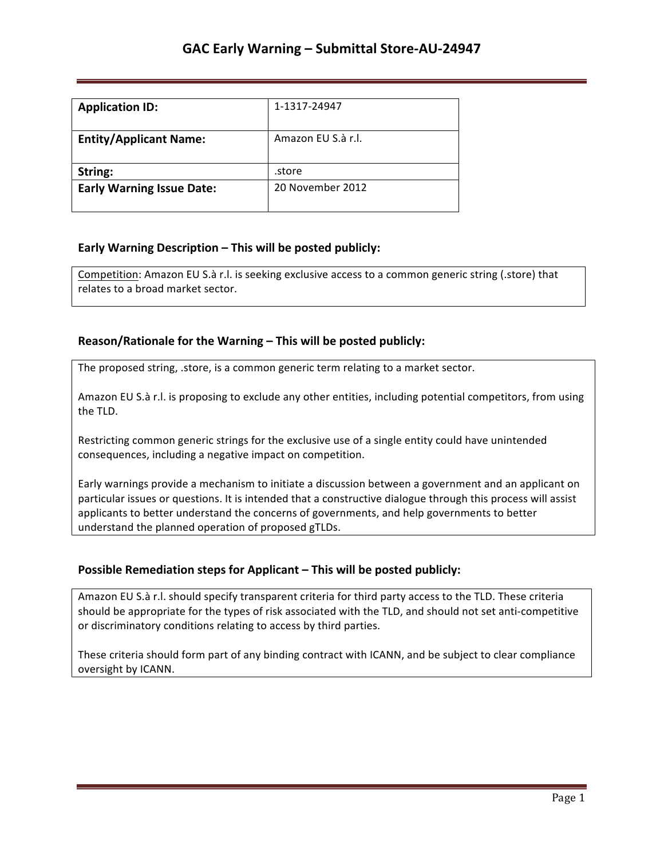| <b>Application ID:</b>           | 1-1317-24947       |
|----------------------------------|--------------------|
| <b>Entity/Applicant Name:</b>    | Amazon FU S.à r.l. |
| String:                          | .store             |
| <b>Early Warning Issue Date:</b> | 20 November 2012   |

## **Early Warning Description – This will be posted publicly:**

Competition: Amazon EU S.à r.l. is seeking exclusive access to a common generic string (.store) that relates to a broad market sector.

### **Reason/Rationale for the Warning – This will be posted publicly:**

The proposed string, .store, is a common generic term relating to a market sector.

Amazon EU S.à r.l. is proposing to exclude any other entities, including potential competitors, from using the TLD.

Restricting common generic strings for the exclusive use of a single entity could have unintended consequences, including a negative impact on competition.

Early warnings provide a mechanism to initiate a discussion between a government and an applicant on particular issues or questions. It is intended that a constructive dialogue through this process will assist applicants to better understand the concerns of governments, and help governments to better understand the planned operation of proposed gTLDs.

## **Possible Remediation steps for Applicant - This will be posted publicly:**

Amazon EU S.à r.l. should specify transparent criteria for third party access to the TLD. These criteria should be appropriate for the types of risk associated with the TLD, and should not set anti-competitive or discriminatory conditions relating to access by third parties.

These criteria should form part of any binding contract with ICANN, and be subject to clear compliance oversight by ICANN.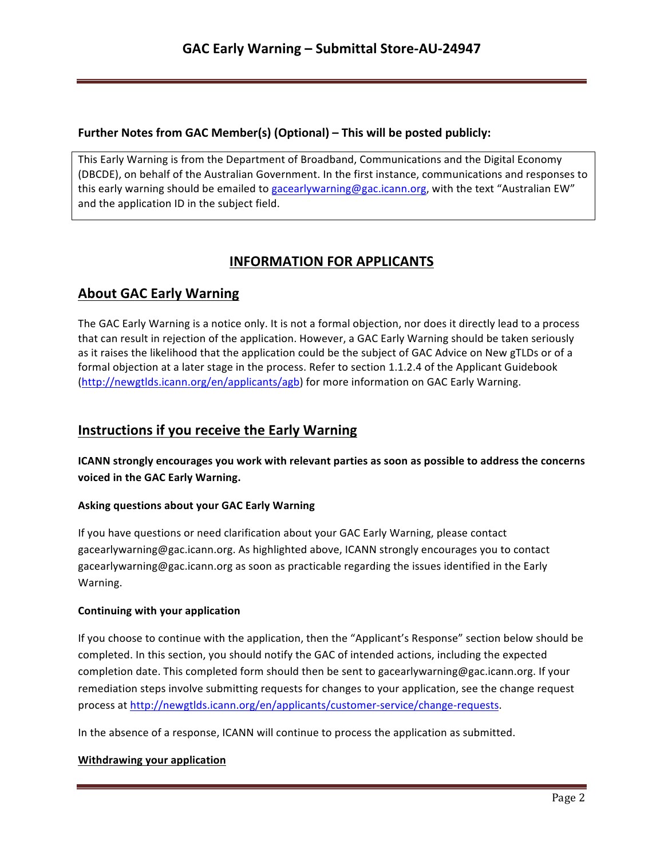## **Further Notes from GAC Member(s) (Optional) – This will be posted publicly:**

This Early Warning is from the Department of Broadband, Communications and the Digital Economy (DBCDE), on behalf of the Australian Government. In the first instance, communications and responses to this early warning should be emailed to gacearlywarning@gac.icann.org, with the text "Australian EW" and the application ID in the subject field.

# **INFORMATION FOR APPLICANTS**

# **About GAC Early Warning**

The GAC Early Warning is a notice only. It is not a formal objection, nor does it directly lead to a process that can result in rejection of the application. However, a GAC Early Warning should be taken seriously as it raises the likelihood that the application could be the subject of GAC Advice on New gTLDs or of a formal objection at a later stage in the process. Refer to section 1.1.2.4 of the Applicant Guidebook (http://newgtlds.icann.org/en/applicants/agb) for more information on GAC Early Warning.

## **Instructions if you receive the Early Warning**

**ICANN** strongly encourages you work with relevant parties as soon as possible to address the concerns voiced in the GAC Early Warning.

### **Asking questions about your GAC Early Warning**

If you have questions or need clarification about your GAC Early Warning, please contact gacearlywarning@gac.icann.org. As highlighted above, ICANN strongly encourages you to contact gacearlywarning@gac.icann.org as soon as practicable regarding the issues identified in the Early Warning. 

### **Continuing with your application**

If you choose to continue with the application, then the "Applicant's Response" section below should be completed. In this section, you should notify the GAC of intended actions, including the expected completion date. This completed form should then be sent to gacearlywarning@gac.icann.org. If your remediation steps involve submitting requests for changes to your application, see the change request process at http://newgtlds.icann.org/en/applicants/customer-service/change-requests.

In the absence of a response, ICANN will continue to process the application as submitted.

### **Withdrawing your application**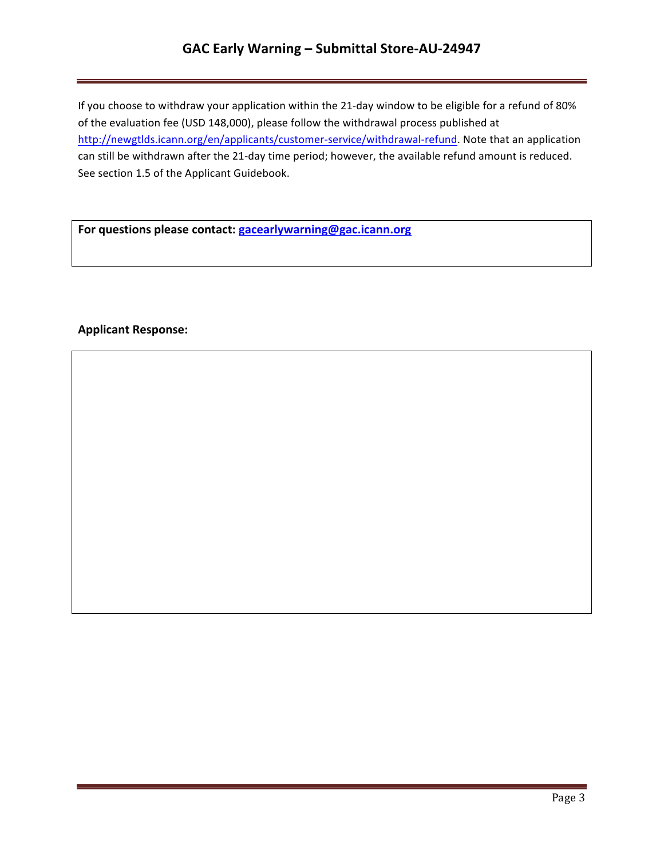# **GAC Early Warning – Submittal Store-AU-24947**

If you choose to withdraw your application within the 21-day window to be eligible for a refund of 80% of the evaluation fee (USD 148,000), please follow the withdrawal process published at http://newgtlds.icann.org/en/applicants/customer-service/withdrawal-refund. Note that an application can still be withdrawn after the 21-day time period; however, the available refund amount is reduced. See section 1.5 of the Applicant Guidebook.

For questions please contact: **gacearlywarning@gac.icann.org** 

### **Applicant Response:**